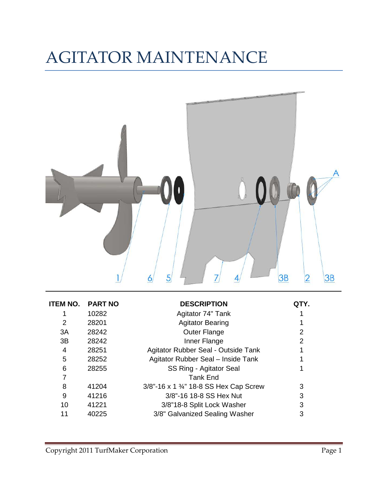## AGITATOR MAINTENANCE



| ITEM NO. | <b>PART NO</b> | <b>DESCRIPTION</b>                     | QIY. |
|----------|----------------|----------------------------------------|------|
|          | 10282          | Agitator 74" Tank                      |      |
| 2        | 28201          | <b>Agitator Bearing</b>                |      |
| 3A       | 28242          | <b>Outer Flange</b>                    | 2    |
| 3B       | 28242          | Inner Flange                           | 2    |
| 4        | 28251          | Agitator Rubber Seal - Outside Tank    |      |
| 5        | 28252          | Agitator Rubber Seal - Inside Tank     |      |
| 6        | 28255          | SS Ring - Agitator Seal                |      |
|          |                | <b>Tank End</b>                        |      |
| 8        | 41204          | 3/8"-16 x 1 3/4" 18-8 SS Hex Cap Screw | 3    |
| 9        | 41216          | 3/8"-16 18-8 SS Hex Nut                | 3    |
| 10       | 41221          | 3/8"18-8 Split Lock Washer             | 3    |
| 11       | 40225          | 3/8" Galvanized Sealing Washer         | 3    |
|          |                |                                        |      |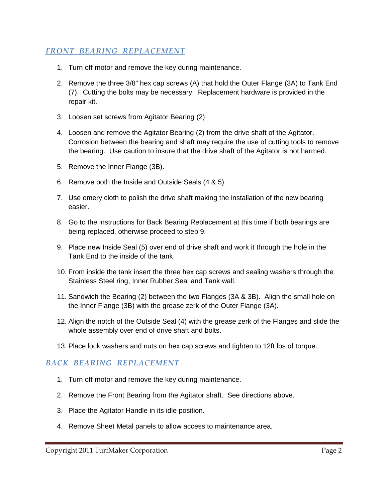## *FRONT BEARING REPLACEMENT*

- 1. Turn off motor and remove the key during maintenance.
- 2. Remove the three 3/8" hex cap screws (A) that hold the Outer Flange (3A) to Tank End (7). Cutting the bolts may be necessary. Replacement hardware is provided in the repair kit.
- 3. Loosen set screws from Agitator Bearing (2)
- 4. Loosen and remove the Agitator Bearing (2) from the drive shaft of the Agitator. Corrosion between the bearing and shaft may require the use of cutting tools to remove the bearing. Use caution to insure that the drive shaft of the Agitator is not harmed.
- 5. Remove the Inner Flange (3B).
- 6. Remove both the Inside and Outside Seals (4 & 5)
- 7. Use emery cloth to polish the drive shaft making the installation of the new bearing easier.
- 8. Go to the instructions for Back Bearing Replacement at this time if both bearings are being replaced, otherwise proceed to step 9.
- 9. Place new Inside Seal (5) over end of drive shaft and work it through the hole in the Tank End to the inside of the tank.
- 10. From inside the tank insert the three hex cap screws and sealing washers through the Stainless Steel ring, Inner Rubber Seal and Tank wall.
- 11. Sandwich the Bearing (2) between the two Flanges (3A & 3B). Align the small hole on the Inner Flange (3B) with the grease zerk of the Outer Flange (3A).
- 12. Align the notch of the Outside Seal (4) with the grease zerk of the Flanges and slide the whole assembly over end of drive shaft and bolts.
- 13. Place lock washers and nuts on hex cap screws and tighten to 12ft lbs of torque.

## *BACK BEARING REPLACEMENT*

- 1. Turn off motor and remove the key during maintenance.
- 2. Remove the Front Bearing from the Agitator shaft. See directions above.
- 3. Place the Agitator Handle in its idle position.
- 4. Remove Sheet Metal panels to allow access to maintenance area.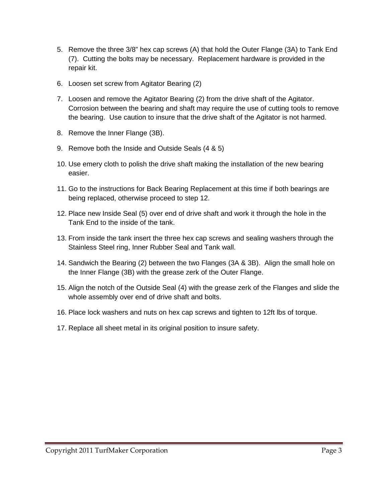- 5. Remove the three 3/8" hex cap screws (A) that hold the Outer Flange (3A) to Tank End (7). Cutting the bolts may be necessary. Replacement hardware is provided in the repair kit.
- 6. Loosen set screw from Agitator Bearing (2)
- 7. Loosen and remove the Agitator Bearing (2) from the drive shaft of the Agitator. Corrosion between the bearing and shaft may require the use of cutting tools to remove the bearing. Use caution to insure that the drive shaft of the Agitator is not harmed.
- 8. Remove the Inner Flange (3B).
- 9. Remove both the Inside and Outside Seals (4 & 5)
- 10. Use emery cloth to polish the drive shaft making the installation of the new bearing easier.
- 11. Go to the instructions for Back Bearing Replacement at this time if both bearings are being replaced, otherwise proceed to step 12.
- 12. Place new Inside Seal (5) over end of drive shaft and work it through the hole in the Tank End to the inside of the tank.
- 13. From inside the tank insert the three hex cap screws and sealing washers through the Stainless Steel ring, Inner Rubber Seal and Tank wall.
- 14. Sandwich the Bearing (2) between the two Flanges (3A & 3B). Align the small hole on the Inner Flange (3B) with the grease zerk of the Outer Flange.
- 15. Align the notch of the Outside Seal (4) with the grease zerk of the Flanges and slide the whole assembly over end of drive shaft and bolts.
- 16. Place lock washers and nuts on hex cap screws and tighten to 12ft lbs of torque.
- 17. Replace all sheet metal in its original position to insure safety.